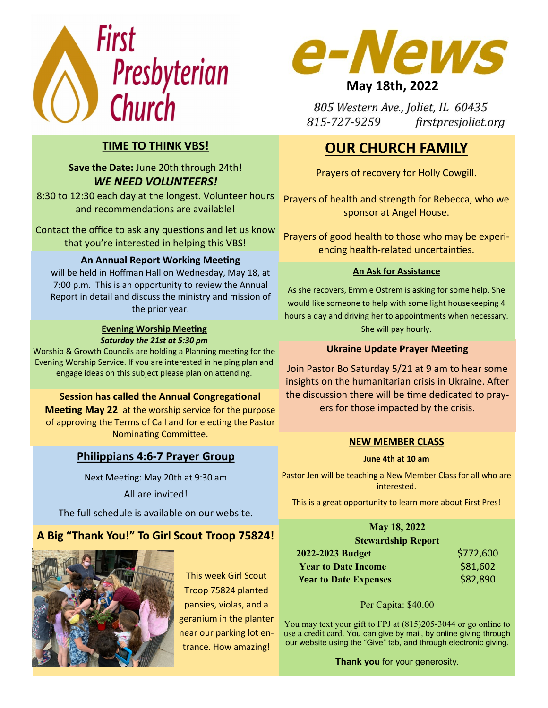



# **Save the Date:** June 20th through 24th! *WE NEED VOLUNTEERS!*

8:30 to 12:30 each day at the longest. Volunteer hours and recommendations are available!

Contact the office to ask any questions and let us know that you're interested in helping this VBS!

# **An Annual Report Working Meeting**

will be held in Hoffman Hall on Wednesday, May 18, at 7:00 p.m. This is an opportunity to review the Annual Report in detail and discuss the ministry and mission of the prior year.

#### **Evening Worship Meeting** *Saturday the 21st at 5:30 pm*

Worship & Growth Councils are holding a Planning meeting for the Evening Worship Service. If you are interested in helping plan and engage ideas on this subject please plan on attending.

## **Session has called the Annual Congregational**

**Meeting May 22** at the worship service for the purpose of approving the Terms of Call and for electing the Pastor Nominating Committee.

# **Philippians 4:6-7 Prayer Group**

Next Meeting: May 20th at 9:30 am

#### All are invited!

The full schedule is available on our website.

# **A Big "Thank You!" To Girl Scout Troop 75824!**



This week Girl Scout Troop 75824 planted pansies, violas, and a geranium in the planter near our parking lot entrance. How amazing!



# **May 18th, 2022**

805 Western Ave., Joliet, IL 60435 815-727-9259 firstpresjoliet.org

# **OUR CHURCH FAMILY**

Prayers of recovery for Holly Cowgill.

Prayers of health and strength for Rebecca, who we sponsor at Angel House.

Prayers of good health to those who may be experiencing health-related uncertainties.

## **An Ask for Assistance**

As she recovers, Emmie Ostrem is asking for some help. She would like someone to help with some light housekeeping 4 hours a day and driving her to appointments when necessary. She will pay hourly.

### **Ukraine Update Prayer Meeting**

Join Pastor Bo Saturday 5/21 at 9 am to hear some insights on the humanitarian crisis in Ukraine. After the discussion there will be time dedicated to prayers for those impacted by the crisis.

## **NEW MEMBER CLASS**

#### **June 4th at 10 am**

Pastor Jen will be teaching a New Member Class for all who are interested.

This is a great opportunity to learn more about First Pres!

| May 18, 2022                 |           |
|------------------------------|-----------|
| <b>Stewardship Report</b>    |           |
| 2022-2023 Budget             | \$772,600 |
| <b>Year to Date Income</b>   | \$81,602  |
| <b>Year to Date Expenses</b> | \$82,890  |

#### Per Capita: \$40.00

You may text your gift to FPJ at (815)205-3044 or go online to use a credit card. You can give by mail, by online giving through our website using the "Give" tab, and through electronic giving.

**Thank you** for your generosity.